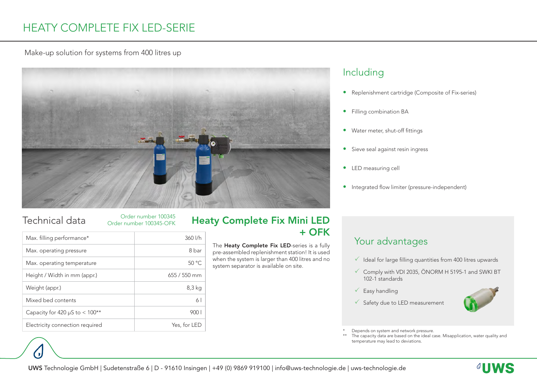Make-up solution for systems from 400 litres up



### Technical data

Order number 100345 Order number 100345-OFK

| Max. filling performance*           | 360 l/h        |
|-------------------------------------|----------------|
| Max. operating pressure             | 8 bar          |
| Max. operating temperature          | 50 °C          |
| Height / Width in mm (appr.)        | $655/550$ mm   |
| Weight (appr.)                      | 8,3 kg         |
| Mixed bed contents                  | 6 <sup>1</sup> |
| Capacity for 420 $\mu$ S to < 100** | 900 I          |
| Electricity connection required     | Yes, for LED   |

### Heaty Complete Fix Mini LED + OFK

The Heaty Complete Fix LED-series is a fully pre-assembled replenishment station! It is used when the system is larger than 400 litres and no system separator is available on site.

### Including

- Replenishment cartridge (Composite of Fix-series)
- Filling combination BA
- Water meter, shut-off fittings
- Sieve seal against resin ingress
- LED measuring cell
- Integrated flow limiter (pressure-independent)

### Your advantages

- $\checkmark$  Ideal for large filling quantities from 400 litres upwards
- $\checkmark$  Comply with VDI 2035, ÖNORM H 5195-1 and SWKI BT 102-1 standards
- $\sqrt{\phantom{a}}$  Easy handling
- $\checkmark$  Safety due to LED measurement



\* Depends on system and network pressure.<br>\*\* The capacity data are based on the ideal ca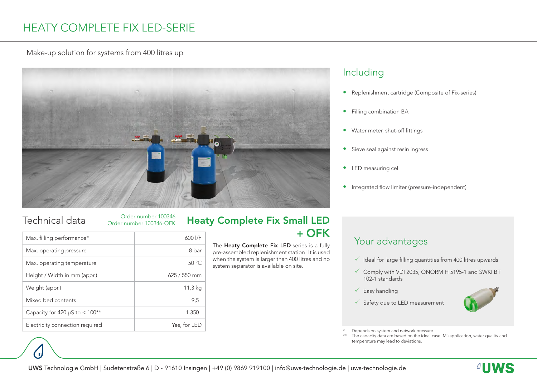Make-up solution for systems from 400 litres up



Order number 100346 Order number 100346-OFK

| Max. filling performance*           | 600 l/h      | + OFK                                                                                                                                                                                         |
|-------------------------------------|--------------|-----------------------------------------------------------------------------------------------------------------------------------------------------------------------------------------------|
| Max. operating pressure             | 8 bar        | The Heaty Complete Fix LED-series is a fully<br>pre-assembled replenishment station! It is used<br>when the system is larger than 400 litres and no<br>system separator is available on site. |
| Max. operating temperature          | 50 °C        |                                                                                                                                                                                               |
| Height / Width in mm (appr.)        | $625/550$ mm |                                                                                                                                                                                               |
| Weight (appr.)                      | 11,3 kg      |                                                                                                                                                                                               |
| Mixed bed contents                  | 9,51         |                                                                                                                                                                                               |
| Capacity for 420 $\mu$ S to < 100** | 1.3501       |                                                                                                                                                                                               |
| Electricity connection required     | Yes, for LED |                                                                                                                                                                                               |

# Technical data <sub>Order number 100346</sub> Heaty Complete Fix Small LED

### Including

- Replenishment cartridge (Composite of Fix-series)
- Filling combination BA
- Water meter, shut-off fittings
- Sieve seal against resin ingress
- LED measuring cell
- Integrated flow limiter (pressure-independent)

### Your advantages

- $\checkmark$  Ideal for large filling quantities from 400 litres upwards
- $\checkmark$  Comply with VDI 2035, ÖNORM H 5195-1 and SWKI BT 102-1 standards
- $\sqrt{\phantom{a}}$  Easy handling
- $\checkmark$  Safety due to LED measurement



\* Depends on system and network pressure.<br>\*\* The capacity data are based on the ideal ca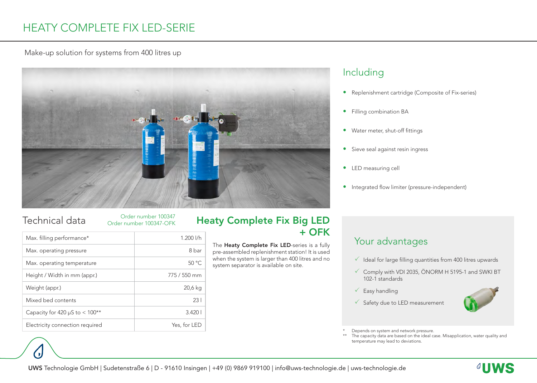### Make-up solution for systems from 400 litres up



### Order number 100347 Order number 100347-OFK

| Max. filling performance*           | $1.200$ $1/h$ | + OFK                                                                                                                                                                                         |
|-------------------------------------|---------------|-----------------------------------------------------------------------------------------------------------------------------------------------------------------------------------------------|
| Max. operating pressure             | 8 bar         | The Heaty Complete Fix LED-series is a fully<br>pre-assembled replenishment station! It is used<br>when the system is larger than 400 litres and no<br>system separator is available on site. |
| Max. operating temperature          | 50 °C         |                                                                                                                                                                                               |
| Height / Width in mm (appr.)        | 775 / 550 mm  |                                                                                                                                                                                               |
| Weight (appr.)                      | 20,6 kg       |                                                                                                                                                                                               |
| Mixed bed contents                  | 231           |                                                                                                                                                                                               |
| Capacity for 420 $\mu$ S to < 100** | 3.4201        |                                                                                                                                                                                               |
| Electricity connection required     | Yes, for LED  |                                                                                                                                                                                               |

# Technical data <sub>Order number 100347</sub> Heaty Complete Fix Big LED

### Including

- Replenishment cartridge (Composite of Fix-series)
- Filling combination BA
- Water meter, shut-off fittings
- Sieve seal against resin ingress
- LED measuring cell
- Integrated flow limiter (pressure-independent)

### Your advantages

- $\checkmark$  Ideal for large filling quantities from 400 litres upwards
- $\checkmark$  Comply with VDI 2035, ÖNORM H 5195-1 and SWKI BT 102-1 standards
- $\sqrt{\phantom{a}}$  Easy handling
- $\checkmark$  Safety due to LED measurement



\* Depends on system and network pressure.<br>\*\* The capacity data are based on the ideal ca